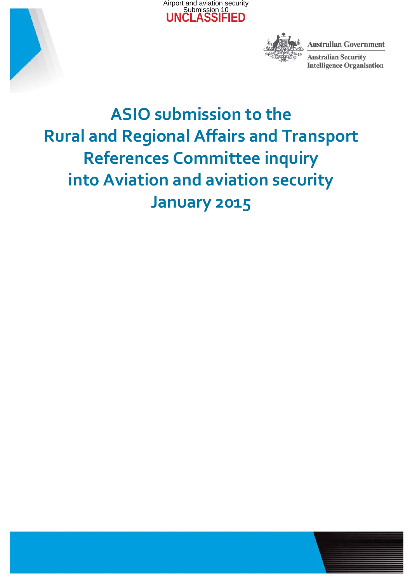



**Australian Government** 

**Australian Security Intelligence Organisation** 

# **ASIO submission to the Rural and Regional Affairs and Transport References Committee inquiry into Aviation and aviation security January 2015**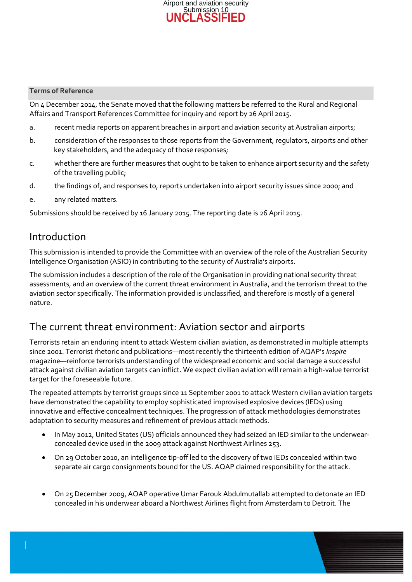

#### **Terms of Reference**

On 4 December 2014, the Senate moved that the following matters be referred to the Rural and Regional Affairs and Transport References Committee for inquiry and report by 26 April 2015.

- a. recent media reports on apparent breaches in airport and aviation security at Australian airports;
- b. consideration of the responses to those reports from the Government, regulators, airports and other key stakeholders, and the adequacy of those responses;
- c. whether there are further measures that ought to be taken to enhance airport security and the safety of the travelling public;
- d. the findings of, and responses to, reports undertaken into airport security issues since 2000; and
- e. any related matters.

Submissions should be received by 16 January 2015. The reporting date is 26 April 2015.

### Introduction

This submission is intended to provide the Committee with an overview of the role of the Australian Security Intelligence Organisation (ASIO) in contributing to the security of Australia's airports.

The submission includes a description of the role of the Organisation in providing national security threat assessments, and an overview of the current threat environment in Australia, and the terrorism threat to the aviation sector specifically. The information provided is unclassified, and therefore is mostly of a general nature.

## The current threat environment: Aviation sector and airports

Terrorists retain an enduring intent to attack Western civilian aviation, as demonstrated in multiple attempts since 2001. Terrorist rhetoric and publications—most recently the thirteenth edition of AQAP's *Inspire* magazine—reinforce terrorists understanding of the widespread economic and social damage a successful attack against civilian aviation targets can inflict. We expect civilian aviation will remain a high-value terrorist target for the foreseeable future.

The repeated attempts by terrorist groups since 11 September 2001 to attack Western civilian aviation targets have demonstrated the capability to employ sophisticated improvised explosive devices (IEDs) using innovative and effective concealment techniques. The progression of attack methodologies demonstrates adaptation to security measures and refinement of previous attack methods.

- In May 2012, United States (US) officials announced they had seized an IED similar to the underwearconcealed device used in the 2009 attack against Northwest Airlines 253.
- On 29 October 2010, an intelligence tip-off led to the discovery of two IEDs concealed within two separate air cargo consignments bound for the US. AQAP claimed responsibility for the attack.
- On 25 December 2009, AQAP operative Umar Farouk Abdulmutallab attempted to detonate an IED concealed in his underwear aboard a Northwest Airlines flight from Amsterdam to Detroit. The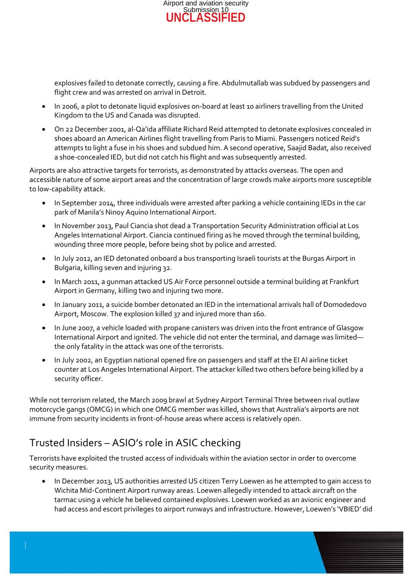

explosives failed to detonate correctly, causing a fire. Abdulmutallab was subdued by passengers and flight crew and was arrested on arrival in Detroit.

- In 2006, a plot to detonate liquid explosives on-board at least 10 airliners travelling from the United Kingdom to the US and Canada was disrupted.
- On 22 December 2001, al-Qa'ida affiliate Richard Reid attempted to detonate explosives concealed in shoes aboard an American Airlines flight travelling from Paris to Miami. Passengers noticed Reid's attempts to light a fuse in his shoes and subdued him. A second operative, Saajid Badat, also received a shoe-concealed IED, but did not catch his flight and was subsequently arrested.

Airports are also attractive targets for terrorists, as demonstrated by attacks overseas. The open and accessible nature of some airport areas and the concentration of large crowds make airports more susceptible to low-capability attack.

- In September 2014, three individuals were arrested after parking a vehicle containing IEDs in the car park of Manila's Ninoy Aquino International Airport.
- In November 2013, Paul Ciancia shot dead a Transportation Security Administration official at Los Angeles International Airport. Ciancia continued firing as he moved through the terminal building, wounding three more people, before being shot by police and arrested.
- In July 2012, an IED detonated onboard a bus transporting Israeli tourists at the Burgas Airport in Bulgaria, killing seven and injuring 32.
- In March 2011, a gunman attacked US Air Force personnel outside a terminal building at Frankfurt Airport in Germany, killing two and injuring two more.
- In January 2011, a suicide bomber detonated an IED in the international arrivals hall of Domodedovo Airport, Moscow. The explosion killed 37 and injured more than 160.
- In June 2007, a vehicle loaded with propane canisters was driven into the front entrance of Glasgow International Airport and ignited. The vehicle did not enter the terminal, and damage was limited the only fatality in the attack was one of the terrorists.
- In July 2002, an Egyptian national opened fire on passengers and staff at the El Al airline ticket counter at Los Angeles International Airport. The attacker killed two others before being killed by a security officer.

While not terrorism related, the March 2009 brawl at Sydney Airport Terminal Three between rival outlaw motorcycle gangs (OMCG) in which one OMCG member was killed, shows that Australia's airports are not immune from security incidents in front-of-house areas where access is relatively open.

# Trusted Insiders – ASIO's role in ASIC checking

Terrorists have exploited the trusted access of individuals within the aviation sector in order to overcome security measures.

• In December 2013, US authorities arrested US citizen Terry Loewen as he attempted to gain access to Wichita Mid-Continent Airport runway areas. Loewen allegedly intended to attack aircraft on the tarmac using a vehicle he believed contained explosives. Loewen worked as an avionic engineer and had access and escort privileges to airport runways and infrastructure. However, Loewen's 'VBIED' did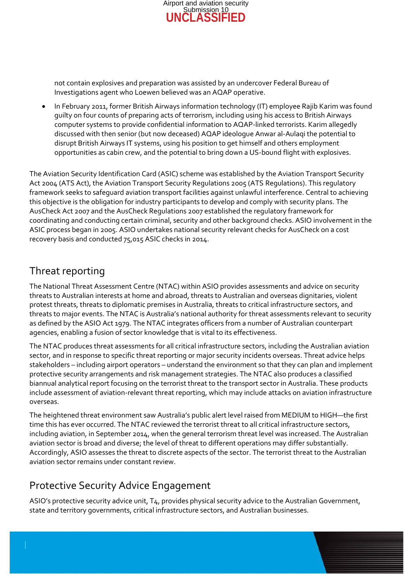

not contain explosives and preparation was assisted by an undercover Federal Bureau of Investigations agent who Loewen believed was an AQAP operative.

• In February 2011, former British Airways information technology (IT) employee Rajib Karim was found guilty on four counts of preparing acts of terrorism, including using his access to British Airways computer systems to provide confidential information to AQAP-linked terrorists. Karim allegedly discussed with then senior (but now deceased) AQAP ideologue Anwar al-Aulaqi the potential to disrupt British Airways IT systems, using his position to get himself and others employment opportunities as cabin crew, and the potential to bring down a US-bound flight with explosives.

The Aviation Security Identification Card (ASIC) scheme was established by the Aviation Transport Security Act 2004 (ATS Act), the Aviation Transport Security Regulations 2005 (ATS Regulations). This regulatory framework seeks to safeguard aviation transport facilities against unlawful interference. Central to achieving this objective is the obligation for industry participants to develop and comply with security plans. The AusCheck Act 2007 and the AusCheck Regulations 2007 established the regulatory framework for coordinating and conducting certain criminal, security and other background checks. ASIO involvement in the ASIC process began in 2005. ASIO undertakes national security relevant checks for AusCheck on a cost recovery basis and conducted 75,015 ASIC checks in 2014.

# Threat reporting

The National Threat Assessment Centre (NTAC) within ASIO provides assessments and advice on security threats to Australian interests at home and abroad, threats to Australian and overseas dignitaries, violent protest threats, threats to diplomatic premises in Australia, threats to critical infrastructure sectors, and threats to major events. The NTAC is Australia's national authority for threat assessments relevant to security as defined by the ASIO Act 1979. The NTAC integrates officers from a number of Australian counterpart agencies, enabling a fusion of sector knowledge that is vital to its effectiveness.

The NTAC produces threat assessments for all critical infrastructure sectors, including the Australian aviation sector, and in response to specific threat reporting or major security incidents overseas. Threat advice helps stakeholders – including airport operators – understand the environment so that they can plan and implement protective security arrangements and risk management strategies. The NTAC also produces a classified biannual analytical report focusing on the terrorist threat to the transport sector in Australia. These products include assessment of aviation-relevant threat reporting, which may include attacks on aviation infrastructure overseas.

The heightened threat environment saw Australia's public alert level raised from MEDIUM to HIGH—the first time this has ever occurred. The NTAC reviewed the terrorist threat to all critical infrastructure sectors, including aviation, in September 2014, when the general terrorism threat level was increased. The Australian aviation sector is broad and diverse; the level of threat to different operations may differ substantially. Accordingly, ASIO assesses the threat to discrete aspects of the sector. The terrorist threat to the Australian aviation sector remains under constant review.

# Protective Security Advice Engagement

ASIO's protective security advice unit, T4, provides physical security advice to the Australian Government, state and territory governments, critical infrastructure sectors, and Australian businesses.